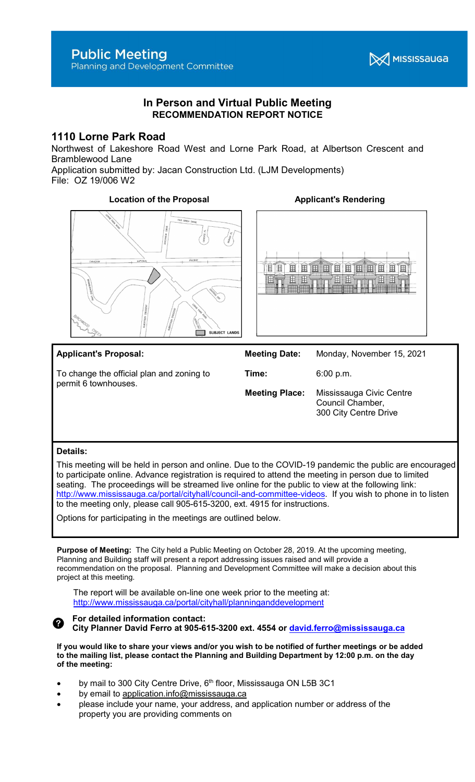

# In Person and Virtual Public Meeting RECOMMENDATION REPORT NOTICE

# 1110 Lorne Park Road

Northwest of Lakeshore Road West and Lorne Park Road, at Albertson Crescent and Bramblewood Lane

Application submitted by: Jacan Construction Ltd. (LJM Developments) File: OZ 19/006 W2

# Location of the Proposal **Applicant's Rendering**





#### Applicant's Proposal: To change the official plan and zoning to permit 6 townhouses. Meeting Date: Monday, November 15, 2021 Time: 6:00 p.m. Meeting Place: Mississauga Civic Centre Council Chamber, 300 City Centre Drive

#### Details:

This meeting will be held in person and online. Due to the COVID-19 pandemic the public are encouraged to participate online. Advance registration is required to attend the meeting in person due to limited seating. The proceedings will be streamed live online for the public to view at the following link: http://www.mississauga.ca/portal/cityhall/council-and-committee-videos. If you wish to phone in to listen to the meeting only, please call 905-615-3200, ext. 4915 for instructions.

Options for participating in the meetings are outlined below.

Purpose of Meeting: The City held a Public Meeting on October 28, 2019. At the upcoming meeting, Planning and Building staff will present a report addressing issues raised and will provide a recommendation on the proposal. Planning and Development Committee will make a decision about this project at this meeting.

The report will be available on-line one week prior to the meeting at: http://www.mississauga.ca/portal/cityhall/planninganddevelopment

#### For detailed information contact: Ø City Planner David Ferro at 905-615-3200 ext. 4554 or david.ferro@mississauga.ca

If you would like to share your views and/or you wish to be notified of further meetings or be added to the mailing list, please contact the Planning and Building Department by 12:00 p.m. on the day of the meeting:

- by mail to 300 City Centre Drive, 6<sup>th</sup> floor, Mississauga ON L5B 3C1
- by email to application.info@mississauga.ca
- please include your name, your address, and application number or address of the property you are providing comments on